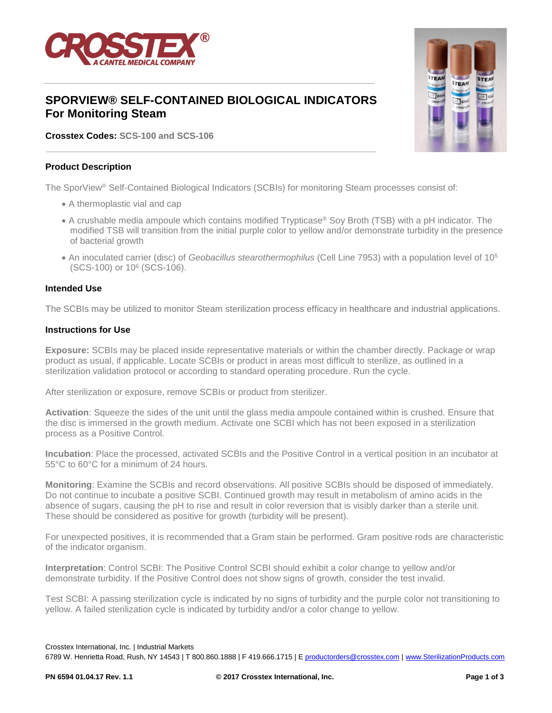

# **SPORVIEW® SELF-CONTAINED BIOLOGICAL INDICATORS For Monitoring Steam**

**Crosstex Codes: SCS-100 and SCS-106**

#### **Product Description**

The SporView® Self-Contained Biological Indicators (SCBIs) for monitoring Steam processes consist of:

- A thermoplastic vial and cap
- A crushable media ampoule which contains modified Trypticase® Soy Broth (TSB) with a pH indicator. The modified TSB will transition from the initial purple color to yellow and/or demonstrate turbidity in the presence of bacterial growth
- An inoculated carrier (disc) of *Geobacillus stearothermophilus* (Cell Line 7953) with a population level of 10<sup>5</sup> (SCS-100) or 10<sup>6</sup> (SCS-106).

#### **Intended Use**

The SCBIs may be utilized to monitor Steam sterilization process efficacy in healthcare and industrial applications.

#### **Instructions for Use**

**Exposure:** SCBIs may be placed inside representative materials or within the chamber directly. Package or wrap product as usual, if applicable. Locate SCBIs or product in areas most difficult to sterilize, as outlined in a sterilization validation protocol or according to standard operating procedure. Run the cycle.

After sterilization or exposure, remove SCBIs or product from sterilizer.

**Activation**: Squeeze the sides of the unit until the glass media ampoule contained within is crushed. Ensure that the disc is immersed in the growth medium. Activate one SCBI which has not been exposed in a sterilization process as a Positive Control.

**Incubation**: Place the processed, activated SCBIs and the Positive Control in a vertical position in an incubator at 55°C to 60°C for a minimum of 24 hours.

**Monitoring**: Examine the SCBIs and record observations. All positive SCBIs should be disposed of immediately. Do not continue to incubate a positive SCBI. Continued growth may result in metabolism of amino acids in the absence of sugars, causing the pH to rise and result in color reversion that is visibly darker than a sterile unit. These should be considered as positive for growth (turbidity will be present).

For unexpected positives, it is recommended that a Gram stain be performed. Gram positive rods are characteristic of the indicator organism.

**Interpretation**: Control SCBI: The Positive Control SCBI should exhibit a color change to yellow and/or demonstrate turbidity. If the Positive Control does not show signs of growth, consider the test invalid.

Test SCBI: A passing sterilization cycle is indicated by no signs of turbidity and the purple color not transitioning to yellow. A failed sterilization cycle is indicated by turbidity and/or a color change to yellow.

6789 W. Henrietta Road, Rush, NY 14543 | T 800.860.1888 | F 419.666.1715 | [E productorders@crosstex.com](mailto:productorders@crosstex.com) | [www.SterilizationProducts.com](../../../../Documents%20and%20Settings/ajs0776/Local%20Settings/Temporary%20Internet%20Files/Content.Outlook/64XMA2U2/www.SterilizationProducts.com)



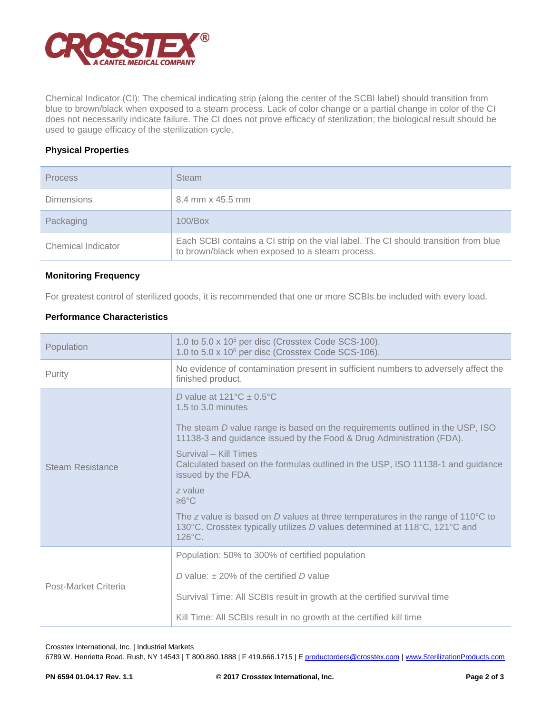

Chemical Indicator (CI): The chemical indicating strip (along the center of the SCBI label) should transition from blue to brown/black when exposed to a steam process. Lack of color change or a partial change in color of the CI does not necessarily indicate failure. The CI does not prove efficacy of sterilization; the biological result should be used to gauge efficacy of the sterilization cycle.

## **Physical Properties**

| <b>Process</b>     | <b>Steam</b>                                                                                                                           |
|--------------------|----------------------------------------------------------------------------------------------------------------------------------------|
| <b>Dimensions</b>  | 8.4 mm x 45.5 mm                                                                                                                       |
| Packaging          | $100/B$ ox                                                                                                                             |
| Chemical Indicator | Each SCBI contains a CI strip on the vial label. The CI should transition from blue<br>to brown/black when exposed to a steam process. |

### **Monitoring Frequency**

For greatest control of sterilized goods, it is recommended that one or more SCBIs be included with every load.

## **Performance Characteristics**

| Population           | 1.0 to 5.0 x 10 <sup>5</sup> per disc (Crosstex Code SCS-100).<br>1.0 to 5.0 x 10 <sup>6</sup> per disc (Crosstex Code SCS-106).                                                                                                                                                                                                                                                                                                                                                                                                                                                         |  |  |
|----------------------|------------------------------------------------------------------------------------------------------------------------------------------------------------------------------------------------------------------------------------------------------------------------------------------------------------------------------------------------------------------------------------------------------------------------------------------------------------------------------------------------------------------------------------------------------------------------------------------|--|--|
| Purity               | No evidence of contamination present in sufficient numbers to adversely affect the<br>finished product.                                                                                                                                                                                                                                                                                                                                                                                                                                                                                  |  |  |
| Steam Resistance     | D value at $121^{\circ}$ C $\pm$ 0.5°C<br>1.5 to 3.0 minutes<br>The steam D value range is based on the requirements outlined in the USP, ISO<br>11138-3 and guidance issued by the Food & Drug Administration (FDA).<br>Survival - Kill Times<br>Calculated based on the formulas outlined in the USP, ISO 11138-1 and guidance<br>issued by the FDA.<br>z value<br>$\geq 6^{\circ}$ C<br>The z value is based on $D$ values at three temperatures in the range of 110 $\degree$ C to<br>130°C. Crosstex typically utilizes D values determined at 118°C, 121°C and<br>$126^{\circ}$ C. |  |  |
| Post-Market Criteria | Population: 50% to 300% of certified population<br>D value: $+20\%$ of the certified D value<br>Survival Time: All SCBIs result in growth at the certified survival time<br>Kill Time: All SCBIs result in no growth at the certified kill time                                                                                                                                                                                                                                                                                                                                          |  |  |

Crosstex International, Inc. | Industrial Markets

6789 W. Henrietta Road, Rush, NY 14543 | T 800.860.1888 | F 419.666.1715 | [E productorders@crosstex.com](mailto:productorders@crosstex.com) | [www.SterilizationProducts.com](../../../../Documents%20and%20Settings/ajs0776/Local%20Settings/Temporary%20Internet%20Files/Content.Outlook/64XMA2U2/www.SterilizationProducts.com)